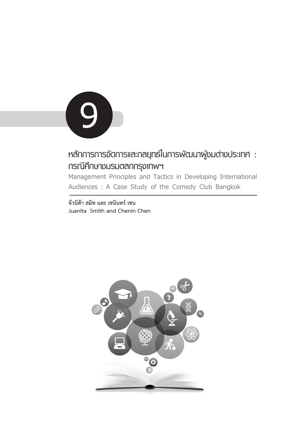

# **หลักการการจัดการและกลยุทธ์ในการพัฒนาผู้ชมต่างประเทศ : กรณีศึกษาชมรมตลกกรุงเทพฯ**

**Management Principles and Tactics in Developing International Audiences : A Case Study of the Comedy Club Bangkok**

**จัวนิต้า สมิท และ เชนินทร์ เชน Juanita Smith and Chenin Chen**

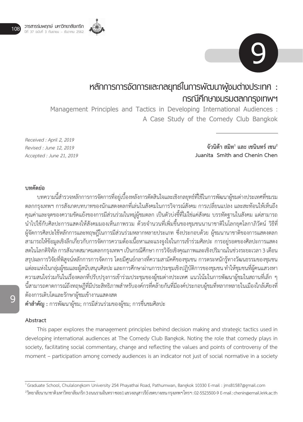



# **หลักการการจัดการและกลยุทธ์ในการพัฒนาผู้ชมต่างประเทศ : กรณีศึกษาชมรมตลกกรุงเทพฯ**

**Management Principles and Tactics in Developing International Audiences : A Case Study of the Comedy Club Bangkok**

*Received : April 2, 2019 Revised : June 12, 2019 Accepted : June 21, 2019*

จัวนิต้า สมิท<sup>1</sup> และ เชนินทร์ เชน $^{\mathsf{2}}$ **Juanita Smith and Chenin Chen**

## **บทคัดย่อ**

บทความนี้ส�ำรวจหลักการการจัดการที่อยู่เบื้องหลังการตัดสินใจและเชิงกลยุทธ์ที่ใช้ในการพัฒนาผู้ชมต่างประเทศที่ชมรม ตลกกรุงเทพฯ การสังเกตบทบาทของนักแสดงตลกที่เล่นในสังคมในการวิจารณ์สังคม การเปลี่ยนแปลง และสะท้อนให้เห็นถึง คุณค่าและจุดของความขัดแย้งของการมีส่วนร่วมในหมู่ผู้ชมตลก เป็นตัวบ่งชี้ที่ไม่ใช่แค่สังคม บรรทัดฐานในสังคม แต่สามารถ นำไปใช้กับศิลปะการแสดงให้สังคมมองเห็นภาพรวม ด้วยจำนวนที่เพิ่มขึ้นของชุมชนนานาชาติในโลกยุคโลกาภิวัตน์ วิธีที่ ผู้จัดการศิลปะใช้หลักการและทฤษฎีในการมีส่วนร่วมหลากหลายประเภท ซึ่งประกอบด้วย ผู้ชมนานาชาติของการแสดงตลก สามารถให้ข้อมูลเชิงลึกเกี่ยวกับการจัดการความต้องเนื้อหาและแรงจูงใจในการเข้าร่วมศิลปะ การอยู่รอดของศิลปะการแสดง สดในโลกดิจิทัล การสังเกตสมาคมตลกกรุงเทพฯ เป็นกรณีศึกษา การวิจัยเชิงคุณภาพและเชิงปริมาณในช่วงระยะเวลา 3 เดือน สรุปผลการวิจัยที่พิสูจน์หลักการการจัดการ โดยมีศูนย์กลางที่ความสามัคคีของชุมชน การตระหนักรู้ทางวัฒนธรรมของชุมชน แต่ละแห่งในกลุ่มผู้ชมและผู้สนับสนุนศิลปะ และการศึกษาผ่านการประชุมเชิงปฏิบัติการของชุมชน ท�ำให้ชุมชนที่ผู้คนแสวงหา ความสนใจร่วมกันในเรื่องตลกที่ปรับปรุงการเข้าร่วมประชุมของผู้ชมต่างประเทศ แนวโน้มในการพัฒนาผู้ชมในสถานที่เล็ก ๆ นี้สามารถคาดการณ์ถึงทฤษฎีที่มีประสิทธิภาพสำหรับองค์กรที่คล้ายกันที่มีองค์ประกอบผู้ชมที่หลากหลายในเมืองใกล้เคียงที่ ต้องการเติบโตและรักษาผู้ชมเข้างานแสดงสด

**ค�ำส�ำคัญ :** การพัฒนาผู้ชม; การมีส่วนร่วมของผู้ชม; การชื่นชมศิลปะ

## **Abstract**

This paper explores the management principles behind decision making and strategic tactics used in developing international audiences at The Comedy Club Bangkok. Noting the role that comedy plays in society, facilitating social commentary, change and reflecting the values and points of controversy of the moment – participation among comedy audiences is an indicator not just of social normative in a society

 $^2$ วิทยาลัยนานาชาติมหาวิทยาลัยเกริก 3 ถนนรามอินทรา ซอย1 แขวงอนุสาวรีย์ เขตบางเขน กรุงเทพฯ โทรฯ : 02-5523500-9 E-mail : chenin@email.krirk.ac.th

**9**

<sup>1</sup>Graduate School, Chulalongkorn University 254 Phayathai Road, Pathumwan, Bangkok 10330 E-mail : jms81587@gmail.com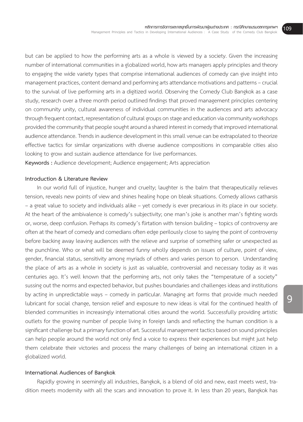but can be applied to how the performing arts as a whole is viewed by a society. Given the increasing number of international communities in a globalized world, how arts managers apply principles and theory to engaging the wide variety types that comprise international audiences of comedy can give insight into management practices, content demand and performing arts attendance motivations and patterns – crucial to the survival of live performing arts in a digitized world. Observing the Comedy Club Bangkok as a case study, research over a three month period outlined findings that proved management principles centering on community unity, cultural awareness of individual communities in the audiences and arts advocacy through frequent contact, representation of cultural groups on stage and education via community workshops provided the community that people sought around a shared interest in comedy that improved international audience attendance. Trends in audience development in this small venue can be extrapolated to theorize effective tactics for similar organizations with diverse audience compositions in comparable cities also looking to grow and sustain audience attendance for live performances.

**Keywords :** Audience development; Audience engagement; Arts appreciation

#### **Introduction & Literature Review**

In our world full of injustice, hunger and cruelty; laughter is the balm that therapeutically relieves tension, reveals new points of view and shines healing hope on bleak situations. Comedy allows catharsis – a great value to society and individuals alike – yet comedy is ever precarious in its place in our society. At the heart of the ambivalence is comedy's subjectivity; one man's joke is another man's fighting words or, worse, deep confusion. Perhaps its comedy's flirtation with tension building – topics of controversy are often at the heart of comedy and comedians often edge perilously close to saying the point of controversy before backing away leaving audiences with the relieve and surprise of something safer or unexpected as the punchline. Who or what will be deemed funny wholly depends on issues of culture, point of view, gender, financial status, sensitivity among myriads of others and varies person to person. Understanding the place of arts as a whole in society is just as valuable, controversial and necessary today as it was centuries ago. It's well known that the performing arts, not only takes the "temperature of a society" sussing out the norms and expected behavior, but pushes boundaries and challenges ideas and institutions by acting in unpredictable ways – comedy in particular. Managing art forms that provide much needed lubricant for social change, tension relief and exposure to new ideas is vital for the continued health of blended communities in increasingly international cities around the world. Successfully providing artistic outlets for the growing number of people living in foreign lands and reflecting the human condition is a significant challenge but a primary function of art. Successful management tactics based on sound principles can help people around the world not only find a voice to express their experiences but might just help them celebrate their victories and process the many challenges of being an international citizen in a globalized world.

## **International Audiences of Bangkok**

Rapidly growing in seemingly all industries, Bangkok, is a blend of old and new, east meets west, tradition meets modernity with all the scars and innovation to prove it. In less than 20 years, Bangkok has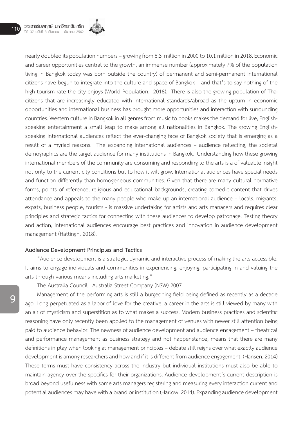

nearly doubled its population numbers – growing from 6.3 million in 2000 to 10.1 million in 2018. Economic and career opportunities central to the growth, an immense number (approximately 7% of the population living in Bangkok today was born outside the country) of permanent and semi-permanent international citizens have begun to integrate into the culture and space of Bangkok – and that's to say nothing of the high tourism rate the city enjoys (World Population, 2018). There is also the growing population of Thai citizens that are increasingly educated with international standards/abroad as the upturn in economic opportunities and international business has brought more opportunities and interaction with surrounding countries. Western culture in Bangkok in all genres from music to books makes the demand for live, Englishspeaking entertainment a small leap to make among all nationalities in Bangkok. The growing Englishspeaking international audiences reflect the ever-changing face of Bangkok society that is emerging as a result of a myriad reasons. The expanding international audiences – audience reflecting, the societal demographics are the target audience for many institutions in Bangkok. Understanding how these growing international members of the community are consuming and responding to the arts is a of valuable insight not only to the current city conditions but to how it will grow. International audiences have special needs and function differently than homogeneous communities. Given that there are many cultural normative forms, points of reference, religious and educational backgrounds, creating comedic content that drives attendance and appeals to the many people who make up an international audience – locals, migrants, expats, business people, tourists - is massive undertaking for artists and arts managers and requires clear principles and strategic tactics for connecting with these audiences to develop patronage. Testing theory and action, international audiences encourage best practices and innovation in audience development management (Hattingh, 2018).

## **Audience Development Principles and Tactics**

"Audience development is a strategic, dynamic and interactive process of making the arts accessible. It aims to engage individuals and communities in experiencing, enjoying, participating in and valuing the arts through various means including arts marketing."

The Australia Council : Australia Street Company (NSW) 2007

Management of the performing arts is still a burgeoning field being defined as recently as a decade ago. Long perpetuated as a labor of love for the creative, a career in the arts is still viewed by many with an air of mysticism and superstition as to what makes a success. Modern business practices and scientific reasoning have only recently been applied to the management of venues with newer still attention being paid to audience behavior. The newness of audience development and audience engagement – theatrical and performance management as business strategy and not happenstance, means that there are many definitions in play when looking at management principles – debate still reigns over what exactly audience development is among researchers and how and if it is different from audience engagement. (Hansen, 2014) These terms must have consistency across the industry but individual institutions must also be able to maintain agency over the specifics for their organizations. Audience development's current description is broad beyond usefulness with some arts managers registering and measuring every interaction current and potential audiences may have with a brand or institution (Harlow, 2014). Expanding audience development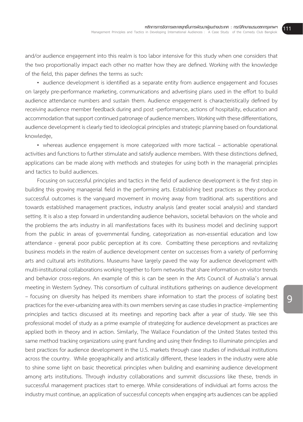and/or audience engagement into this realm is too labor intensive for this study when one considers that the two proportionally impact each other no matter how they are defined. Working with the knowledge of the field, this paper defines the terms as such:

• audience development is identified as a separate entity from audience engagement and focuses on largely pre-performance marketing, communications and advertising plans used in the effort to build audience attendance numbers and sustain them. Audience engagement is characteristically defined by receiving audience member feedback during and post -performance, actions of hospitality, education and accommodation that support continued patronage of audience members. Working with these differentiations, audience development is clearly tied to ideological principles and strategic planning based on foundational knowledge,

• whereas audience engagement is more categorized with more tactical – actionable operational activities and functions to further stimulate and satisfy audience members. With these distinctions defined, applications can be made along with methods and strategies for using both in the managerial principles and tactics to build audiences.

Focusing on successful principles and tactics in the field of audience development is the first step in building this growing managerial field in the performing arts. Establishing best practices as they produce successful outcomes is the vanguard movement in moving away from traditional arts superstitions and towards established management practices, industry analysis (and greater social analysis) and standard setting. It is also a step forward in understanding audience behaviors, societal behaviors on the whole and the problems the arts industry in all manifestations faces with its business model and declining support from the public in areas of governmental funding, categorization as non-essential education and low attendance - general poor public perception at its core. Combatting these perceptions and revitalizing business models in the realm of audience development center on successes from a variety of performing arts and cultural arts institutions. Museums have largely paved the way for audience development with multi-institutional collaborations working together to form networks that share information on visitor trends and behavior cross-regions. An example of this is can be seen in the Arts Council of Australia's annual meeting in Western Sydney. This consortium of cultural institutions gatherings on audience development – focusing on diversity has helped its members share information to start the process of isolating best practices for the ever-urbanizing area with its own members serving as case studies in practice -implementing principles and tactics discussed at its meetings and reporting back after a year of study. We see this professional model of study as a prime example of strategizing for audience development as practices are applied both in theory and in action. Similarly, The Wallace Foundation of the United States tested this same method tracking organizations using grant funding and using their findings to illuminate principles and best practices for audience development in the U.S. markets through case studies of individual institutions across the country. While geographically and artistically different, these leaders in the industry were able to shine some light on basic theoretical principles when building and examining audience development among arts institutions. Through industry collaborations and summit discussions like these, trends in successful management practices start to emerge. While considerations of individual art forms across the industry must continue, an application of successful concepts when engaging arts audiences can be applied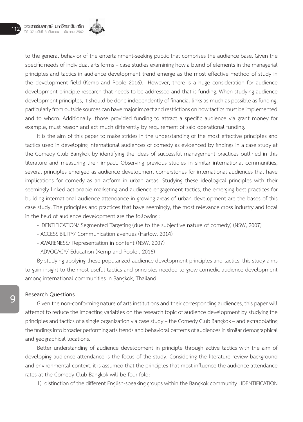

to the general behavior of the entertainment-seeking public that comprises the audience base. Given the specific needs of individual arts forms – case studies examining how a blend of elements in the managerial principles and tactics in audience development trend emerge as the most effective method of study in the development field (Kemp and Poole 2016). However, there is a huge consideration for audience development principle research that needs to be addressed and that is funding. When studying audience development principles, it should be done independently of financial links as much as possible as funding, particularly from outside sources can have major impact and restrictions on how tactics must be implemented and to whom. Additionally, those provided funding to attract a specific audience via grant money for example, must reason and act much differently by requirement of said operational funding.

It is the aim of this paper to make strides in the understanding of the most effective principles and tactics used in developing international audiences of comedy as evidenced by findings in a case study at the Comedy Club Bangkok by identifying the ideas of successful management practices outlined in this literature and measuring their impact. Observing previous studies in similar international communities, several principles emerged as audience development cornerstones for international audiences that have implications for comedy as an artform in urban areas. Studying these ideological principles with their seemingly linked actionable marketing and audience engagement tactics, the emerging best practices for building international audience attendance in growing areas of urban development are the bases of this case study. The principles and practices that have seemingly, the most relevance cross industry and local in the field of audience development are the following :

- IDENTIFICATION/ Segmented Targeting (due to the subjective nature of comedy) (NSW, 2007)
- ACCESSIBILITY/ Communication avenues (Harlow, 2014)
- AWARENESS/ Representation in content (NSW, 2007)
- ADVOCACY/ Education (Kemp and Poole , 2016)

By studying applying these popularized audience development principles and tactics, this study aims to gain insight to the most useful tactics and principles needed to grow comedic audience development among international communities in Bangkok, Thailand.

## **Research Questions**

Given the non-conforming nature of arts institutions and their corresponding audiences, this paper will attempt to reduce the impacting variables on the research topic of audience development by studying the principles and tactics of a single organization via case study – the Comedy Club Bangkok – and extrapolating the findings into broader performing arts trends and behavioral patterns of audiences in similar demographical and geographical locations.

Better understanding of audience development in principle through active tactics with the aim of developing audience attendance is the focus of the study. Considering the literature review background and environmental context, it is assumed that the principles that most influence the audience attendance rates at the Comedy Club Bangkok will be four-fold:

1) distinction of the different English-speaking groups within the Bangkok community : IDENTIFICATION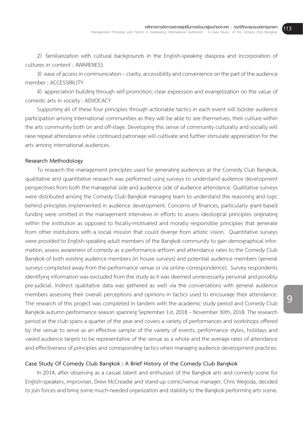2) familiarization with cultural backgrounds in the English-speaking diaspora and incorporation of cultures in content : AWARENESS

3) ease of access in communication – clarity, accessibility and convenience on the part of the audience member : ACCESSIBILITY

4) appreciation building through self-promotion; clear expression and evangelization on the value of comedic arts in society : ADVOCACY

Supporting all of these four principles through actionable tactics in each event will bolster audience participation among international communities as they will be able to see themselves, their culture within the arts community both on and off-stage. Developing this sense of community culturally and socially will raise repeat attendance while continued patronage will cultivate and further stimulate appreciation for the arts among international audiences.

## **Research Methodology**

To research the management principles used for generating audiences at the Comedy Club Bangkok, qualitative and quantitative research was performed using surveys to understand audience development perspectives from both the managerial side and audience side of audience attendance. Qualitative surveys were distributed among the Comedy Club Bangkok managing team to understand the reasoning and logic behind principles implemented in audience development. Concerns of finances, particularly grant-based funding were omitted in the management interviews in efforts to assess ideological principles originating within the institution as opposed to fiscally-motivated and morally responsible principles that generate from other institutions with a social mission that could diverge from artistic vision. Quantitative surveys were provided to English-speaking adult members of the Bangkok community to gain demographical information, assess awareness of comedy as a performance artform and attendance rates to the Comedy Club Bangkok of both existing audience members (in house surveys) and potential audience members (general surveys completed away from the performance venue or via online correspondence). Survey respondents identifying information was excluded from the study as it was deemed unnecessarily personal and possibly pre-judicial. Indirect qualitative data was gathered as well via the conversations with general audience members assessing their overall perceptions and opinions in tactics used to encourage their attendance. The research of this project was completed in tandem with the academic study period and Comedy Club Bangkok autumn performance season spanning September 1st, 2018 – November 30th, 2018. The research period at the club spans a quarter of the year and covers a variety of performances and workshops offered by the venue to serve as an effective sample of the variety of events, performance styles, holidays and varied audience targets to be representative of the venue as a whole and the average rates of attendance and effectiveness of principles and corresponding tactics when managing audience development practices.

## **Case Study Of Comedy Club Bangkok : A Brief History of the Comedy Club Bangkok**

In 2014, after observing as a casual talent and enthusiast of the Bangkok arts and comedy scene for English-speakers, improviser, Drew McCreadie and stand-up comic/venue manager, Chris Wegoda, decided to join forces and bring some much-needed organization and stability to the Bangkok performing arts scene.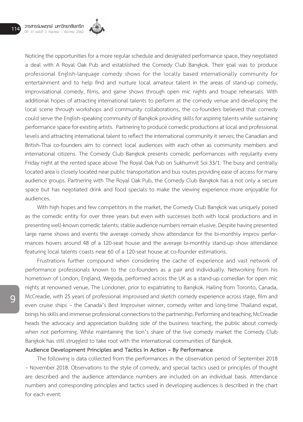

Noticing the opportunities for a more regular schedule and designated performance space, they negotiated a deal with A Royal Oak Pub and established the Comedy Club Bangkok. Their goal was to produce professional English-language comedy shows for the locally based internationally community for entertainment and to help find and nurture local amateur talent in the areas of stand-up comedy, improvisational comedy, films, and game shows through open mic nights and troupe rehearsals. With additional hopes of attracting international talents to perform at the comedy venue and developing the local scene through workshops and community collaborations, the co-founders believed that comedy could serve the English-speaking community of Bangkok providing skills for aspiring talents while sustaining performance space for existing artists. Partnering to produce comedic productions at local and professional levels and attracting international talent to reflect the international community it serves; the Canadian and British-Thai co-founders aim to connect local audiences with each other as community members and international citizens. The Comedy Club Bangkok presents comedic performances with regularity every Friday night at the rented space above The Royal Oak Pub on Sukhumvit Soi 33/1. The busy and centrally located area is closely located near public transportation and bus routes providing ease of access for many audience groups. Partnering with The Royal Oak Pub, the Comedy Club Bangkok has a not only a secure space but has negotiated drink and food specials to make the viewing experience more enjoyable for audiences.

With high hopes and few competitors in the market, the Comedy Club Bangkok was uniquely poised as the comedic entity for over three years but even with successes both with local productions and in presenting well-known comedic talents; stable audience numbers remain elusive. Despite having presented large name shows and events the average comedy show attendance for the bi-monthly improv performances hovers around 48 of a 120-seat house and the average bi-monthly stand-up show attendance featuring local talents coasts near 60 of a 120-seat house at co-founder estimations.

Frustrations further compound when considering the cache of experience and vast network of performance professionals known to the co-founders as a pair and individually. Networking from his hometown of London, England, Wegoda, performed across the UK as a stand-up comedian for open mic nights at renowned venue, The Londoner, prior to expatriating to Bangkok. Hailing from Toronto, Canada, McCreadie, with 25 years of professional improvised and sketch comedy experience across stage, film and even cruise ships – the Canada's Best Improviser winner, comedy writer and long-time Thailand expat, brings his skills and immense professional connections to the partnership. Performing and teaching, McCreadie heads the advocacy and appreciation building side of the business teaching, the public about comedy when not performing. While maintaining the lion's share of the live comedy market the Comedy Club Bangkok has still struggled to take root with the international communities of Bangkok.

## **Audience Development Principles and Tactics in Action – By Performance**

The following is data collected from the performances in the observation period of September 2018 – November 2018. Observations to the style of comedy, and special tactics used or principles of thought are described and the audience attendance numbers are included on an individual basis. Attendance numbers and corresponding principles and tactics used in developing audiences is described in the chart for each event: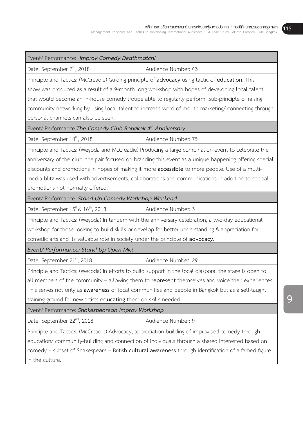| Event/ Performance: Improv Comedy Deathmatch!                                                                                                                                                                                                                                                                                                                                                                                                                    |                     |  |
|------------------------------------------------------------------------------------------------------------------------------------------------------------------------------------------------------------------------------------------------------------------------------------------------------------------------------------------------------------------------------------------------------------------------------------------------------------------|---------------------|--|
| Date: September 7 <sup>th</sup> , 2018                                                                                                                                                                                                                                                                                                                                                                                                                           | Audience Number: 43 |  |
| Principle and Tactics: (McCreadie) Guiding principle of advocacy using tactic of education. This<br>show was produced as a result of a 9-month long workshop with hopes of developing local talent<br>that would become an in-house comedy troupe able to regularly perform. Sub-principle of raising<br>community networking by using local talent to increase word of mouth marketing/connecting through<br>personal channels can also be seen.                |                     |  |
| Event/ Performance: The Comedy Club Bangkok 4 <sup>th</sup> Anniversary                                                                                                                                                                                                                                                                                                                                                                                          |                     |  |
| Date: September 14 <sup>th</sup> , 2018                                                                                                                                                                                                                                                                                                                                                                                                                          | Audience Number: 75 |  |
| Principle and Tactics: (Wegoda and McCreadie) Producing a large combination event to celebrate the<br>anniversary of the club, the pair focused on branding this event as a unique happening offering special<br>discounts and promotions in hopes of making it more <b>accessible</b> to more people. Use of a multi-<br>media blitz was used with advertisements, collaborations and communications in addition to special<br>promotions not normally offered. |                     |  |
| Event/ Performance: Stand-Up Comedy Workshop Weekend                                                                                                                                                                                                                                                                                                                                                                                                             |                     |  |
| Date: September $15^{\text{th}}\& 16^{\text{th}}$ , 2018                                                                                                                                                                                                                                                                                                                                                                                                         | Audience Number: 3  |  |
| Principle and Tactics: (Wegoda) In tandem with the anniversary celebration, a two-day educational<br>workshop for those looking to build skills or develop for better understanding & appreciation for<br>comedic arts and its valuable role in society under the principle of advocacy.                                                                                                                                                                         |                     |  |
| Event/ Performance: Stand-Up Open Mic!                                                                                                                                                                                                                                                                                                                                                                                                                           |                     |  |
| Date: September 21 <sup>st</sup> , 2018                                                                                                                                                                                                                                                                                                                                                                                                                          | Audience Number: 29 |  |
| Principle and Tactics: (Wegoda) In efforts to build support in the local diaspora, the stage is open to<br>all members of the community – allowing them to represent themselves and voice their experiences.<br>This serves not only as <b>awareness</b> of local communities and people in Bangkok but as a self-taught<br>training ground for new artists educating them on skills needed.                                                                     |                     |  |
| Event/ Performance: Shakespearean Improv Workshop                                                                                                                                                                                                                                                                                                                                                                                                                |                     |  |
| Date: September 22 <sup>nd</sup> , 2018                                                                                                                                                                                                                                                                                                                                                                                                                          | Audience Number: 9  |  |
| Principle and Tactics: (McCreadie) Advocacy; appreciation building of improvised comedy through<br>education/ community-building and connection of individuals through a shared interested based on<br>comedy - subset of Shakespeare - British cultural awareness through identification of a famed figure<br>in the culture.                                                                                                                                   |                     |  |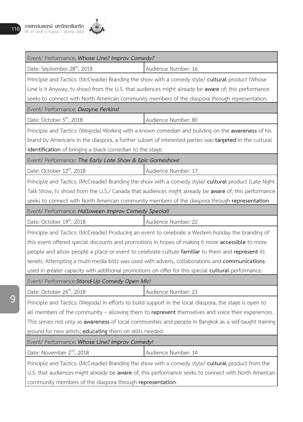

| Event/ Performance: Whose Line? Improv Comedy?                                                                 |                                                                                                |  |
|----------------------------------------------------------------------------------------------------------------|------------------------------------------------------------------------------------------------|--|
| Date: September 28 <sup>th</sup> , 2018                                                                        | Audience Number: 16                                                                            |  |
| Principle and Tactics: (McCreadie) Branding the show with a comedy style/ cultural product (Whose              |                                                                                                |  |
| Line is it Anyway, tv show) from the U.S. that audiences might already be <b>aware</b> of; this performance    |                                                                                                |  |
| seeks to connect with North American community members of the diaspora through representation.                 |                                                                                                |  |
| Event/ Performance: Dwayne Perkins!                                                                            |                                                                                                |  |
| Date: October 5 <sup>th</sup> , 2018                                                                           | Audience Number: 80                                                                            |  |
| Principle and Tactics: (Wegoda) Working with a known comedian and building on the awareness of his             |                                                                                                |  |
| brand by Americans in the diaspora, a further subset of interested parties was <b>targeted</b> in the cultural |                                                                                                |  |
| identification of bringing a black comedian to the stage.                                                      |                                                                                                |  |
| Event/ Performance: The Early Late Show & Epic Gameshow!                                                       |                                                                                                |  |
| Date: October 12 <sup>th</sup> , 2018                                                                          | Audience Number: 17                                                                            |  |
| Principle and Tactics: (McCreadie) Branding the show with a comedy style/ cultural product (Late Night         |                                                                                                |  |
| Talk Show, tv show) from the U.S./ Canada that audiences might already be <b>aware</b> of; this performance    |                                                                                                |  |
|                                                                                                                | seeks to connect with North American community members of the diaspora through representation. |  |
| Event/ Performance: Halloween Improv Comedy Special!                                                           |                                                                                                |  |
| Date: October 19 <sup>th</sup> , 2018                                                                          | Audience Number: 22                                                                            |  |
| Principle and Tactics: (McCreadie) Producing an event to celebrate a Western holiday the branding of           |                                                                                                |  |
| this event offered special discounts and promotions in hopes of making it more accessible to more              |                                                                                                |  |
| people and allow people a place or event to celebrate culture familiar to them and represent its               |                                                                                                |  |
| tenets. Attempting a multi-media blitz was used with adverts, collaborations and communications                |                                                                                                |  |
| used in greater capacity with additional promotions on offer for this special cultural performance.            |                                                                                                |  |
| Event/ Performance: Stand-Up Comedy Open Mic!                                                                  |                                                                                                |  |
| Date: October 26 <sup>th</sup> , 2018                                                                          | Audience Number: 21                                                                            |  |
| Principle and Tactics: (Wegoda) In efforts to build support in the local diaspora, the stage is open to        |                                                                                                |  |
| all members of the community – allowing them to represent themselves and voice their experiences.              |                                                                                                |  |
| This serves not only as awareness of local communities and people in Bangkok as a self-taught training         |                                                                                                |  |
| ground for new artists; educating them on skills needed.                                                       |                                                                                                |  |
| Event/ Performance: Whose Line? Improv Comedy!                                                                 |                                                                                                |  |
| Date: November 2 <sup>nd</sup> , 2018                                                                          | Audience Number: 14                                                                            |  |
| Principle and Tactics: (McCreadie) Branding the show with a comedy style/ cultural product from the            |                                                                                                |  |
| U.S. that audiences might already be aware of; this performance seeks to connect with North American           |                                                                                                |  |
| community members of the diaspora through representation.                                                      |                                                                                                |  |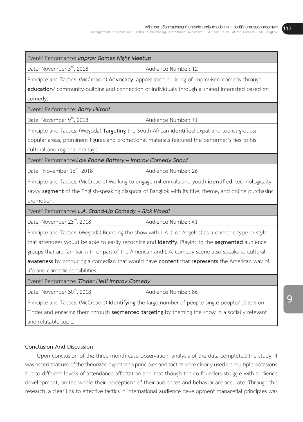| Event/ Performance: Improv Games Night Meetup                                                                                                                                                                                                                                                                                                                                                                                                       |                     |  |
|-----------------------------------------------------------------------------------------------------------------------------------------------------------------------------------------------------------------------------------------------------------------------------------------------------------------------------------------------------------------------------------------------------------------------------------------------------|---------------------|--|
| Date: November 5 <sup>th</sup> , 2018                                                                                                                                                                                                                                                                                                                                                                                                               | Audience Number: 12 |  |
| Principle and Tactics: (McCreadie) Advocacy; appreciation building of improvised comedy through<br>education/ community-building and connection of individuals through a shared interested based on<br>comedy.                                                                                                                                                                                                                                      |                     |  |
| Event/ Performance: Barry Hilton!                                                                                                                                                                                                                                                                                                                                                                                                                   |                     |  |
| Date: November 9 <sup>th</sup> , 2018                                                                                                                                                                                                                                                                                                                                                                                                               | Audience Number: 71 |  |
| Principle and Tactics: (Wegoda) Targeting the South African-identified expat and tourist groups;<br>popular areas, prominent figures and promotional materials featured the performer's ties to his<br>cultural and regional heritage.                                                                                                                                                                                                              |                     |  |
| Event/ Performance: Low Phone Battery - Improv Comedy Show!                                                                                                                                                                                                                                                                                                                                                                                         |                     |  |
| Date: November 16 <sup>th</sup> , 2018                                                                                                                                                                                                                                                                                                                                                                                                              | Audience Number: 26 |  |
| Principle and Tactics: (McCreadie) Working to engage millennials and youth-identified, technologically<br>savvy segment of the English-speaking diaspora of Bangkok with its title, theme, and online purchasing<br>promotion.                                                                                                                                                                                                                      |                     |  |
| Event/ Performance: L.A. Stand-Up Comedy - Rick Wood!                                                                                                                                                                                                                                                                                                                                                                                               |                     |  |
| Date: November 23rd, 2018                                                                                                                                                                                                                                                                                                                                                                                                                           | Audience Number: 41 |  |
| Principle and Tactics: (Wegoda) Branding the show with L.A. (Los Angeles) as a comedic type or style<br>that attendees would be able to easily recognize and identify. Playing to the segmented audience<br>groups that are familiar with or part of the American and L.A. comedy scene also speaks to cultural<br>awareness by producing a comedian that would have content that represents the American way of<br>life and comedic sensibilities. |                     |  |
| Event/ Performance: Tinder Hell! Improv Comedy                                                                                                                                                                                                                                                                                                                                                                                                      |                     |  |
| Date: November 30 <sup>th</sup> , 2018                                                                                                                                                                                                                                                                                                                                                                                                              | Audience Number: 86 |  |
| Principle and Tactics: (McCreadie) Identifying the large number of people single people/ daters on<br>Tinder and engaging them through <b>segmented targeting</b> by theming the show in a socially relevant<br>and relatable topic.                                                                                                                                                                                                                |                     |  |

## **Conclusion And Discussion**

Upon conclusion of the three-month case observation, analysis of the data completed the study. It was noted that use of the theorized hypothesis principles and tactics were clearly used on multiple occasions but to different levels of attendance affectation and that though the co-founders struggle with audience development, on the whole their perceptions of their audiences and behavior are accurate. Through this research, a clear link to effective tactics in international audience development managerial principles was

**117**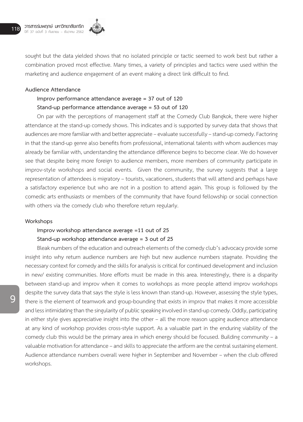

sought but the data yielded shows that no isolated principle or tactic seemed to work best but rather a combination proved most effective. Many times, a variety of principles and tactics were used within the marketing and audience engagement of an event making a direct link difficult to find.

## **Audience Attendance**

## **Improv performance attendance average = 37 out of 120 Stand-up performance attendance average = 53 out of 120**

On par with the perceptions of management staff at the Comedy Club Bangkok, there were higher attendance at the stand-up comedy shows. This indicates and is supported by survey data that shows that audiences are more familiar with and better appreciate – evaluate successfully – stand-up comedy. Factoring in that the stand-up genre also benefits from professional, international talents with whom audiences may already be familiar with, understanding the attendance difference begins to become clear. We do however see that despite being more foreign to audience members, more members of community participate in improv-style workshops and social events. Given the community, the survey suggests that a large representation of attendees is migratory – tourists, vacationers, students that will attend and perhaps have a satisfactory experience but who are not in a position to attend again. This group is followed by the comedic arts enthusiasts or members of the community that have found fellowship or social connection with others via the comedy club who therefore return regularly.

## **Workshops**

# **Improv workshop attendance average =11 out of 25 Stand-up workshop attendance average = 3 out of 25**

Bleak numbers of the education and outreach elements of the comedy club's advocacy provide some insight into why return audience numbers are high but new audience numbers stagnate. Providing the necessary context for comedy and the skills for analysis is critical for continued development and inclusion in new/ existing communities. More efforts must be made in this area. Interestingly, there is a disparity between stand-up and improv when it comes to workshops as more people attend improv workshops despite the survey data that says the style is less known than stand-up. However, assessing the style types, there is the element of teamwork and group-bounding that exists in improv that makes it more accessible and less intimidating than the singularity of public speaking involved in stand-up comedy. Oddly, participating in either style gives appreciative insight into the other – all the more reason upping audience attendance at any kind of workshop provides cross-style support. As a valuable part in the enduring viability of the comedy club this would be the primary area in which energy should be focused. Building community – a valuable motivation for attendance – and skills to appreciate the artform are the central sustaining element. Audience attendance numbers overall were higher in September and November – when the club offered workshops.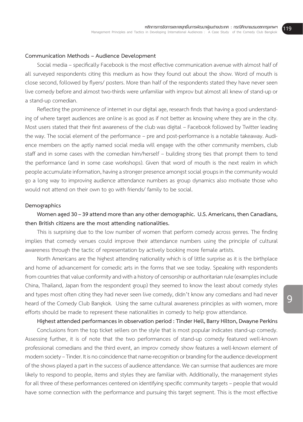## **Communication Methods – Audience Development**

Social media – specifically Facebook is the most effective communication avenue with almost half of all surveyed respondents citing this medium as how they found out about the show. Word of mouth is close second, followed by flyers/ posters. More than half of the respondents stated they have never seen live comedy before and almost two-thirds were unfamiliar with improv but almost all knew of stand-up or a stand-up comedian.

Reflecting the prominence of internet in our digital age, research finds that having a good understanding of where target audiences are online is as good as if not better as knowing where they are in the city. Most users stated that their first awareness of the club was digital – Facebook followed by Twitter leading the way. The social element of the performance – pre and post-performance is a notable takeaway. Audience members on the aptly named social media will engage with the other community members, club staff and in some cases with the comedian him/herself – building strong ties that prompt them to tend the performance (and in some case workshops). Given that word of mouth is the next realm in which people accumulate information, having a stronger presence amongst social groups in the community would go a long way to improving audience attendance numbers as group dynamics also motivate those who would not attend on their own to go with friends/ family to be social.

#### **Demographics**

## **Women aged 30 – 39 attend more than any other demographic. U.S. Americans, then Canadians, then British citizens are the most attending nationalities.**

This is surprising due to the low number of women that perform comedy across genres. The finding implies that comedy venues could improve their attendance numbers using the principle of cultural awareness through the tactic of representation by actively booking more female artists.

North Americans are the highest attending nationality which is of little surprise as it is the birthplace and home of advancement for comedic arts in the forms that we see today. Speaking with respondents from countries that value conformity and with a history of censorship or authoritarian rule (examples include China, Thailand, Japan from the respondent group) they seemed to know the least about comedy styles and types most often citing they had never seen live comedy, didn't know any comedians and had never heard of the Comedy Club Bangkok. Using the same cultural awareness principles as with women, more efforts should be made to represent these nationalities in comedy to help grow attendance.

**Highest attended performances in observation period : Tinder Hell, Barry Hilton, Dwayne Perkins**

Conclusions from the top ticket sellers on the style that is most popular indicates stand-up comedy. Assessing further, it is of note that the two performances of stand-up comedy featured well-known professional comedians and the third event, an improv comedy show features a well-known element of modern society – Tinder. It is no coincidence that name-recognition or branding for the audience development of the shows played a part in the success of audience attendance. We can surmise that audiences are more likely to respond to people, items and styles they are familiar with. Additionally, the management styles for all three of these performances centered on identifying specific community targets – people that would have some connection with the performance and pursuing this target segment. This is the most effective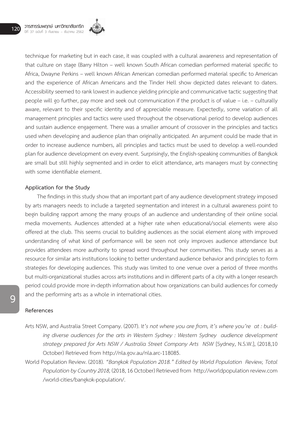

technique for marketing but in each case, it was coupled with a cultural awareness and representation of that culture on stage (Barry Hilton – well known South African comedian performed material specific to Africa, Dwayne Perkins – well known African American comedian performed material specific to American and the experience of African Americans and the Tinder Hell show depicted dates relevant to daters. Accessibility seemed to rank lowest in audience yielding principle and communicative tactic suggesting that people will go further, pay more and seek out communication if the product is of value – i.e. – culturally aware, relevant to their specific identity and of appreciable measure. Expectedly, some variation of all management principles and tactics were used throughout the observational period to develop audiences and sustain audience engagement. There was a smaller amount of crossover in the principles and tactics used when developing and audience plan than originally anticipated. An argument could be made that in order to increase audience numbers, all principles and tactics must be used to develop a well-rounded plan for audience development on every event. Surprisingly, the English-speaking communities of Bangkok are small but still highly segmented and in order to elicit attendance, arts managers must by connecting with some identifiable element.

## **Application for the Study**

The findings in this study show that an important part of any audience development strategy imposed by arts managers needs to include a targeted segmentation and interest in a cultural awareness point to begin building rapport among the many groups of an audience and understanding of their online social media movements. Audiences attended at a higher rate when educational/social elements were also offered at the club. This seems crucial to building audiences as the social element along with improved understanding of what kind of performance will be seen not only improves audience attendance but provides attendees more authority to spread word throughout her communities. This study serves as a resource for similar arts institutions looking to better understand audience behavior and principles to form strategies for developing audiences. This study was limited to one venue over a period of three months but multi-organizational studies across arts institutions and in different parts of a city with a longer research period could provide more in-depth information about how organizations can build audiences for comedy and the performing arts as a whole in international cities.

#### **References**

- Arts NSW, and Australia Street Company. (2007). I*t's not where you are from, it's where you're at : building diverse audiences for the arts in Western Sydney : Western Sydney audience development strategy prepared for Arts NSW / Australia Street Company Arts NSW* [Sydney, N.S.W.], (2018,10 October) Retrieved from http://nla.gov.au/nla.arc-118085.
- World Population Review. (2018). *"Bangkok Population 2018." Edited by World Population Review, Total Population by Country 2018,* (2018, 16 October) Retrieved from http://worldpopulation review.com /world-cities/bangkok-population/.